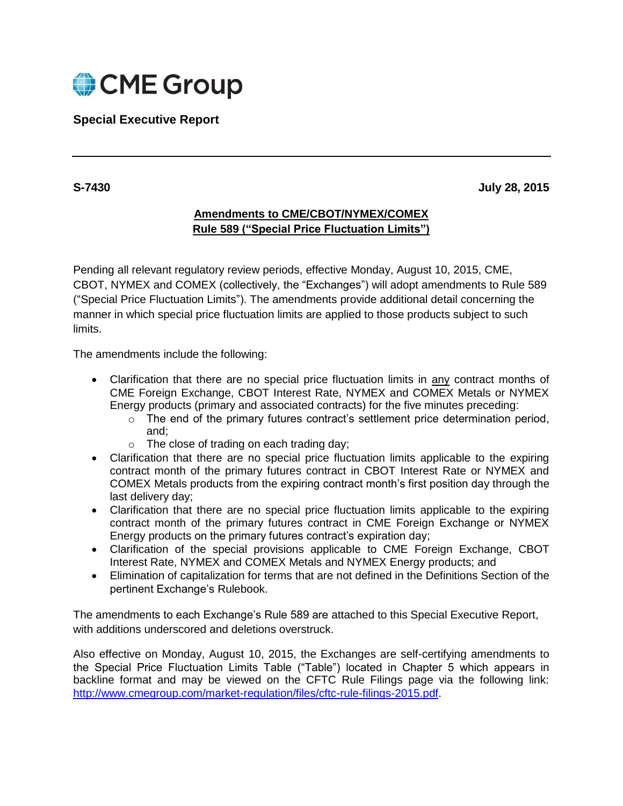

# **Special Executive Report**

**S-7430 July 28, 2015**

# **Amendments to CME/CBOT/NYMEX/COMEX Rule 589 ("Special Price Fluctuation Limits")**

Pending all relevant regulatory review periods, effective Monday, August 10, 2015, CME, CBOT, NYMEX and COMEX (collectively, the "Exchanges") will adopt amendments to Rule 589 ("Special Price Fluctuation Limits"). The amendments provide additional detail concerning the manner in which special price fluctuation limits are applied to those products subject to such limits.

The amendments include the following:

- Clarification that there are no special price fluctuation limits in any contract months of CME Foreign Exchange, CBOT Interest Rate, NYMEX and COMEX Metals or NYMEX Energy products (primary and associated contracts) for the five minutes preceding:
	- $\circ$  The end of the primary futures contract's settlement price determination period, and;
	- o The close of trading on each trading day;
- Clarification that there are no special price fluctuation limits applicable to the expiring contract month of the primary futures contract in CBOT Interest Rate or NYMEX and COMEX Metals products from the expiring contract month's first position day through the last delivery day;
- Clarification that there are no special price fluctuation limits applicable to the expiring contract month of the primary futures contract in CME Foreign Exchange or NYMEX Energy products on the primary futures contract's expiration day;
- Clarification of the special provisions applicable to CME Foreign Exchange, CBOT Interest Rate, NYMEX and COMEX Metals and NYMEX Energy products; and
- Elimination of capitalization for terms that are not defined in the Definitions Section of the pertinent Exchange's Rulebook.

The amendments to each Exchange's Rule 589 are attached to this Special Executive Report, with additions underscored and deletions overstruck.

Also effective on Monday, August 10, 2015, the Exchanges are self-certifying amendments to the Special Price Fluctuation Limits Table ("Table") located in Chapter 5 which appears in backline format and may be viewed on the CFTC Rule Filings page via the following link: [http://www.cmegroup.com/market-regulation/files/cftc-rule-filings-2015.pdf.](http://www.cmegroup.com/market-regulation/files/cftc-rule-filings-2015.pdf)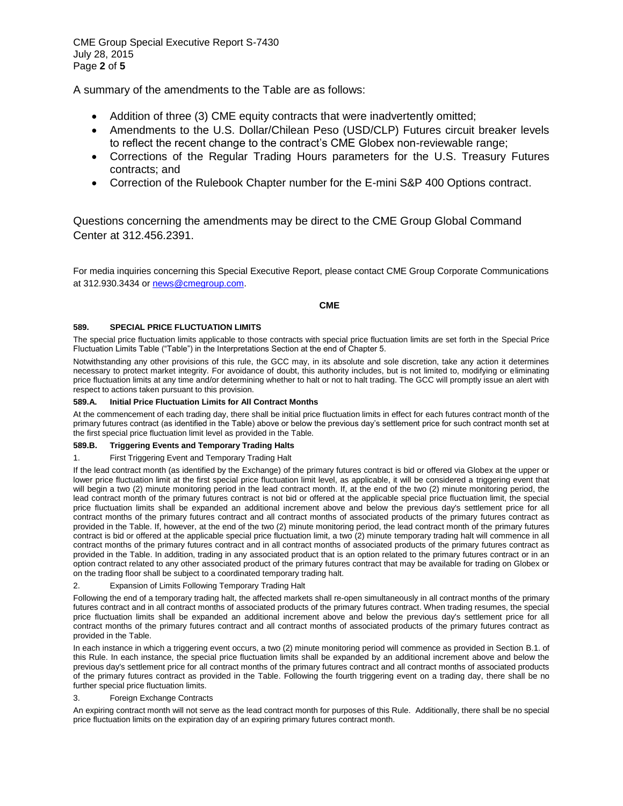CME Group Special Executive Report S-7430 July 28, 2015 Page **2** of **5**

A summary of the amendments to the Table are as follows:

- Addition of three (3) CME equity contracts that were inadvertently omitted;
- Amendments to the U.S. Dollar/Chilean Peso (USD/CLP) Futures circuit breaker levels to reflect the recent change to the contract's CME Globex non-reviewable range;
- Corrections of the Regular Trading Hours parameters for the U.S. Treasury Futures contracts; and
- Correction of the Rulebook Chapter number for the E-mini S&P 400 Options contract.

Questions concerning the amendments may be direct to the CME Group Global Command Center at 312.456.2391.

For media inquiries concerning this Special Executive Report, please contact CME Group Corporate Communications at 312.930.3434 or [news@cmegroup.com.](mailto:news@cmegroup.com)

**CME**

# **589. SPECIAL PRICE FLUCTUATION LIMITS**

The special price fluctuation limits applicable to those contracts with special price fluctuation limits are set forth in the Special Price Fluctuation Limits Table ("Table") in the Interpretations Section at the end of Chapter 5.

Notwithstanding any other provisions of this rule, the GCC may, in its absolute and sole discretion, take any action it determines necessary to protect market integrity. For avoidance of doubt, this authority includes, but is not limited to, modifying or eliminating price fluctuation limits at any time and/or determining whether to halt or not to halt trading. The GCC will promptly issue an alert with respect to actions taken pursuant to this provision.

# **589.A. Initial Price Fluctuation Limits for All Contract Months**

At the commencement of each trading day, there shall be initial price fluctuation limits in effect for each futures contract month of the primary futures contract (as identified in the Table) above or below the previous day's settlement price for such contract month set at the first special price fluctuation limit level as provided in the Table.

# **589.B. Triggering Events and Temporary Trading Halts**

# 1. First Triggering Event and Temporary Trading Halt

If the lead contract month (as identified by the Exchange) of the primary futures contract is bid or offered via Globex at the upper or lower price fluctuation limit at the first special price fluctuation limit level, as applicable, it will be considered a triggering event that will begin a two (2) minute monitoring period in the lead contract month. If, at the end of the two (2) minute monitoring period, the lead contract month of the primary futures contract is not bid or offered at the applicable special price fluctuation limit, the special price fluctuation limits shall be expanded an additional increment above and below the previous day's settlement price for all contract months of the primary futures contract and all contract months of associated products of the primary futures contract as provided in the Table. If, however, at the end of the two (2) minute monitoring period, the lead contract month of the primary futures contract is bid or offered at the applicable special price fluctuation limit, a two (2) minute temporary trading halt will commence in all contract months of the primary futures contract and in all contract months of associated products of the primary futures contract as provided in the Table. In addition, trading in any associated product that is an option related to the primary futures contract or in an option contract related to any other associated product of the primary futures contract that may be available for trading on Globex or on the trading floor shall be subject to a coordinated temporary trading halt.

# Expansion of Limits Following Temporary Trading Halt

Following the end of a temporary trading halt, the affected markets shall re-open simultaneously in all contract months of the primary futures contract and in all contract months of associated products of the primary futures contract. When trading resumes, the special price fluctuation limits shall be expanded an additional increment above and below the previous day's settlement price for all contract months of the primary futures contract and all contract months of associated products of the primary futures contract as provided in the Table.

In each instance in which a triggering event occurs, a two (2) minute monitoring period will commence as provided in Section B.1. of this Rule. In each instance, the special price fluctuation limits shall be expanded by an additional increment above and below the previous day's settlement price for all contract months of the primary futures contract and all contract months of associated products of the primary futures contract as provided in the Table. Following the fourth triggering event on a trading day, there shall be no further special price fluctuation limits.

# 3. Foreign Exchange Contracts

An expiring contract month will not serve as the lead contract month for purposes of this Rule. Additionally, there shall be no special price fluctuation limits on the expiration day of an expiring primary futures contract month.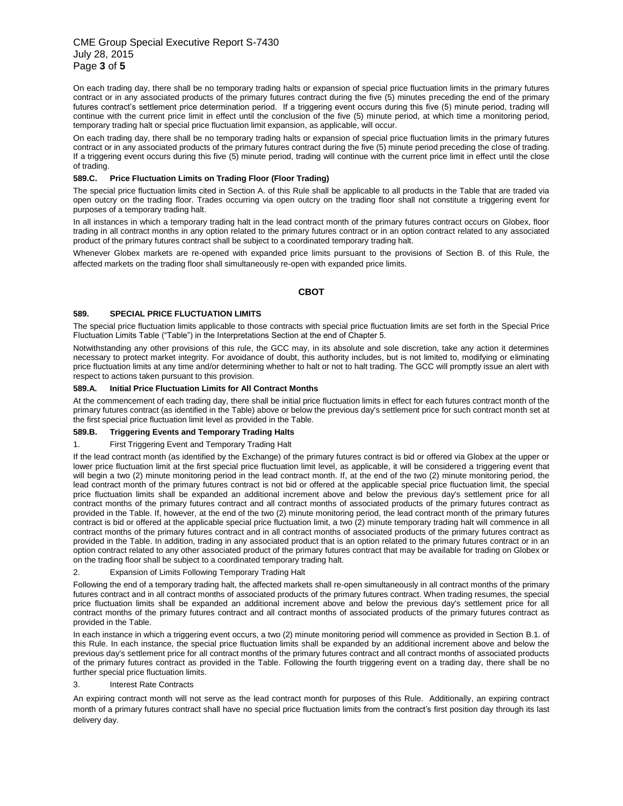# CME Group Special Executive Report S-7430 July 28, 2015 Page **3** of **5**

On each trading day, there shall be no temporary trading halts or expansion of special price fluctuation limits in the primary futures contract or in any associated products of the primary futures contract during the five (5) minutes preceding the end of the primary futures contract's settlement price determination period. If a triggering event occurs during this five (5) minute period, trading will continue with the current price limit in effect until the conclusion of the five (5) minute period, at which time a monitoring period, temporary trading halt or special price fluctuation limit expansion, as applicable, will occur.

On each trading day, there shall be no temporary trading halts or expansion of special price fluctuation limits in the primary futures contract or in any associated products of the primary futures contract during the five (5) minute period preceding the close of trading. If a triggering event occurs during this five (5) minute period, trading will continue with the current price limit in effect until the close of trading.

# **589.C. Price Fluctuation Limits on Trading Floor (Floor Trading)**

The special price fluctuation limits cited in Section A. of this Rule shall be applicable to all products in the Table that are traded via open outcry on the trading floor. Trades occurring via open outcry on the trading floor shall not constitute a triggering event for purposes of a temporary trading halt.

In all instances in which a temporary trading halt in the lead contract month of the primary futures contract occurs on Globex, floor trading in all contract months in any option related to the primary futures contract or in an option contract related to any associated product of the primary futures contract shall be subject to a coordinated temporary trading halt.

Whenever Globex markets are re-opened with expanded price limits pursuant to the provisions of Section B. of this Rule, the affected markets on the trading floor shall simultaneously re-open with expanded price limits.

# **CBOT**

### **589. SPECIAL PRICE FLUCTUATION LIMITS**

The special price fluctuation limits applicable to those contracts with special price fluctuation limits are set forth in the Special Price Fluctuation Limits Table ("Table") in the Interpretations Section at the end of Chapter 5.

Notwithstanding any other provisions of this rule, the GCC may, in its absolute and sole discretion, take any action it determines necessary to protect market integrity. For avoidance of doubt, this authority includes, but is not limited to, modifying or eliminating price fluctuation limits at any time and/or determining whether to halt or not to halt trading. The GCC will promptly issue an alert with respect to actions taken pursuant to this provision.

### **589.A. Initial Price Fluctuation Limits for All Contract Months**

At the commencement of each trading day, there shall be initial price fluctuation limits in effect for each futures contract month of the primary futures contract (as identified in the Table) above or below the previous day's settlement price for such contract month set at the first special price fluctuation limit level as provided in the Table.

# **589.B. Triggering Events and Temporary Trading Halts**

#### 1. First Triggering Event and Temporary Trading Halt

If the lead contract month (as identified by the Exchange) of the primary futures contract is bid or offered via Globex at the upper or lower price fluctuation limit at the first special price fluctuation limit level, as applicable, it will be considered a triggering event that will begin a two (2) minute monitoring period in the lead contract month. If, at the end of the two (2) minute monitoring period, the lead contract month of the primary futures contract is not bid or offered at the applicable special price fluctuation limit, the special price fluctuation limits shall be expanded an additional increment above and below the previous day's settlement price for all contract months of the primary futures contract and all contract months of associated products of the primary futures contract as provided in the Table. If, however, at the end of the two (2) minute monitoring period, the lead contract month of the primary futures contract is bid or offered at the applicable special price fluctuation limit, a two (2) minute temporary trading halt will commence in all contract months of the primary futures contract and in all contract months of associated products of the primary futures contract as provided in the Table. In addition, trading in any associated product that is an option related to the primary futures contract or in an option contract related to any other associated product of the primary futures contract that may be available for trading on Globex or on the trading floor shall be subject to a coordinated temporary trading halt.

# 2. Expansion of Limits Following Temporary Trading Halt

Following the end of a temporary trading halt, the affected markets shall re-open simultaneously in all contract months of the primary futures contract and in all contract months of associated products of the primary futures contract. When trading resumes, the special price fluctuation limits shall be expanded an additional increment above and below the previous day's settlement price for all contract months of the primary futures contract and all contract months of associated products of the primary futures contract as provided in the Table.

In each instance in which a triggering event occurs, a two (2) minute monitoring period will commence as provided in Section B.1. of this Rule. In each instance, the special price fluctuation limits shall be expanded by an additional increment above and below the previous day's settlement price for all contract months of the primary futures contract and all contract months of associated products of the primary futures contract as provided in the Table. Following the fourth triggering event on a trading day, there shall be no further special price fluctuation limits.

# 3. Interest Rate Contracts

An expiring contract month will not serve as the lead contract month for purposes of this Rule. Additionally, an expiring contract month of a primary futures contract shall have no special price fluctuation limits from the contract's first position day through its last delivery day.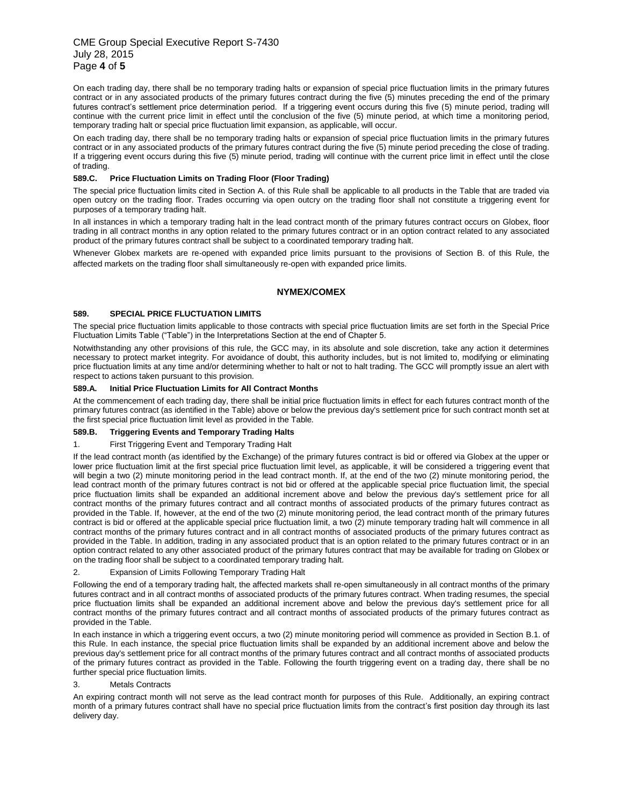# CME Group Special Executive Report S-7430 July 28, 2015 Page **4** of **5**

On each trading day, there shall be no temporary trading halts or expansion of special price fluctuation limits in the primary futures contract or in any associated products of the primary futures contract during the five (5) minutes preceding the end of the primary futures contract's settlement price determination period. If a triggering event occurs during this five (5) minute period, trading will continue with the current price limit in effect until the conclusion of the five (5) minute period, at which time a monitoring period, temporary trading halt or special price fluctuation limit expansion, as applicable, will occur.

On each trading day, there shall be no temporary trading halts or expansion of special price fluctuation limits in the primary futures contract or in any associated products of the primary futures contract during the five (5) minute period preceding the close of trading. If a triggering event occurs during this five (5) minute period, trading will continue with the current price limit in effect until the close of trading.

# **589.C. Price Fluctuation Limits on Trading Floor (Floor Trading)**

The special price fluctuation limits cited in Section A. of this Rule shall be applicable to all products in the Table that are traded via open outcry on the trading floor. Trades occurring via open outcry on the trading floor shall not constitute a triggering event for purposes of a temporary trading halt.

In all instances in which a temporary trading halt in the lead contract month of the primary futures contract occurs on Globex, floor trading in all contract months in any option related to the primary futures contract or in an option contract related to any associated product of the primary futures contract shall be subject to a coordinated temporary trading halt.

Whenever Globex markets are re-opened with expanded price limits pursuant to the provisions of Section B. of this Rule, the affected markets on the trading floor shall simultaneously re-open with expanded price limits.

# **NYMEX/COMEX**

### **589. SPECIAL PRICE FLUCTUATION LIMITS**

The special price fluctuation limits applicable to those contracts with special price fluctuation limits are set forth in the Special Price Fluctuation Limits Table ("Table") in the Interpretations Section at the end of Chapter 5.

Notwithstanding any other provisions of this rule, the GCC may, in its absolute and sole discretion, take any action it determines necessary to protect market integrity. For avoidance of doubt, this authority includes, but is not limited to, modifying or eliminating price fluctuation limits at any time and/or determining whether to halt or not to halt trading. The GCC will promptly issue an alert with respect to actions taken pursuant to this provision.

### **589.A. Initial Price Fluctuation Limits for All Contract Months**

At the commencement of each trading day, there shall be initial price fluctuation limits in effect for each futures contract month of the primary futures contract (as identified in the Table) above or below the previous day's settlement price for such contract month set at the first special price fluctuation limit level as provided in the Table.

# **589.B. Triggering Events and Temporary Trading Halts**

# 1. First Triggering Event and Temporary Trading Halt

If the lead contract month (as identified by the Exchange) of the primary futures contract is bid or offered via Globex at the upper or lower price fluctuation limit at the first special price fluctuation limit level, as applicable, it will be considered a triggering event that will begin a two (2) minute monitoring period in the lead contract month. If, at the end of the two (2) minute monitoring period, the lead contract month of the primary futures contract is not bid or offered at the applicable special price fluctuation limit, the special price fluctuation limits shall be expanded an additional increment above and below the previous day's settlement price for all contract months of the primary futures contract and all contract months of associated products of the primary futures contract as provided in the Table. If, however, at the end of the two (2) minute monitoring period, the lead contract month of the primary futures contract is bid or offered at the applicable special price fluctuation limit, a two (2) minute temporary trading halt will commence in all contract months of the primary futures contract and in all contract months of associated products of the primary futures contract as provided in the Table. In addition, trading in any associated product that is an option related to the primary futures contract or in an option contract related to any other associated product of the primary futures contract that may be available for trading on Globex or on the trading floor shall be subject to a coordinated temporary trading halt.

# 2. Expansion of Limits Following Temporary Trading Halt

Following the end of a temporary trading halt, the affected markets shall re-open simultaneously in all contract months of the primary futures contract and in all contract months of associated products of the primary futures contract. When trading resumes, the special price fluctuation limits shall be expanded an additional increment above and below the previous day's settlement price for all contract months of the primary futures contract and all contract months of associated products of the primary futures contract as provided in the Table.

In each instance in which a triggering event occurs, a two (2) minute monitoring period will commence as provided in Section B.1. of this Rule. In each instance, the special price fluctuation limits shall be expanded by an additional increment above and below the previous day's settlement price for all contract months of the primary futures contract and all contract months of associated products of the primary futures contract as provided in the Table. Following the fourth triggering event on a trading day, there shall be no further special price fluctuation limits.

# 3. Metals Contracts

An expiring contract month will not serve as the lead contract month for purposes of this Rule. Additionally, an expiring contract month of a primary futures contract shall have no special price fluctuation limits from the contract's first position day through its last delivery day.